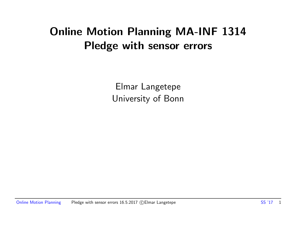# Online Motion Planning MA-INF 1314 Pledge with sensor errors

Elmar Langetepe University of Bonn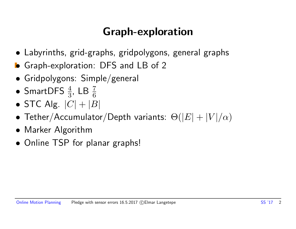# Graph-exploration

- Labyrinths, grid-graphs, gridpolygons, general graphs
- Graph-exploration: DFS and LB of 2
- Gridpolygons: Simple/general
- SmartDFS  $\frac{4}{3}$ , LB  $\frac{7}{6}$
- STC Alg.  $|C| + |B|$
- Tether/Accumulator/Depth variants:  $\Theta(|E| + |V|/\alpha)$
- Marker Algorithm
- Online TSP for planar graphs!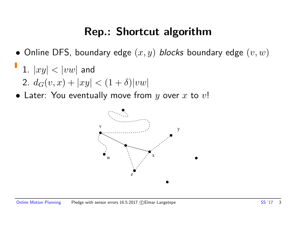## Rep.: Shortcut algorithm

- Online DFS, boundary edge  $(x, y)$  blocks boundary edge  $(v, w)$
- 1.  $|xy| < |vw|$  and 2.  $d_G(v, x) + |xy| < (1 + \delta)|vw|$
- Later: You eventually move from  $y$  over  $x$  to  $v!$

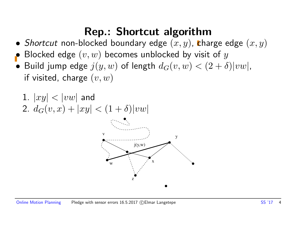# Rep.: Shortcut algorithm

- Shortcut non-blocked boundary edge  $(x, y)$ , charge edge  $(x, y)$
- Blocked edge  $(v, w)$  becomes unblocked by visit of y
- Build jump edge  $j(y, w)$  of length  $d_G(v, w) < (2 + \delta)|vw|$ , if visited, charge  $(v, w)$

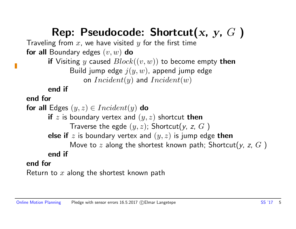# Rep: Pseudocode: Shortcut(x, y,  $G$ )

Traveling from  $x$ , we have visited  $y$  for the first time for all Boundary edges  $(v, w)$  do

> if Visiting y caused  $Block((v, w))$  to become empty then Build jump edge  $j(y, w)$ , append jump edge on  $Incident(y)$  and  $Incident(w)$

end if

end for

```
for all Edges (y, z) \in Incident(y) do
      if z is boundary vertex and (y, z) shortcut then
             Traverse the egde (y, z); Shortcut(y, z, G)else if z is boundary vertex and (y, z) is jump edge then
             Move to z along the shortest known path; Shortcut(y, z, G)
      end if
end for
```
Return to  $x$  along the shortest known path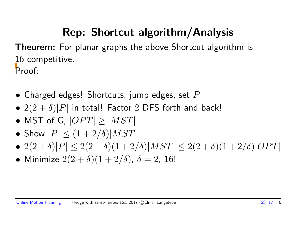# Rep: Shortcut algorithm/Analysis

**Theorem:** For planar graphs the above Shortcut algorithm is 16-competitive. Proof:

- Charged edges! Shortcuts, jump edges, set  $P$
- $2(2 + \delta)|P|$  in total! Factor 2 DFS forth and back!
- MST of G,  $|OPT| \geq |MST|$
- Show  $|P| \leq (1+2/\delta)|MST|$
- $2(2+\delta)|P| \leq 2(2+\delta)(1+2/\delta)|MST| \leq 2(2+\delta)(1+2/\delta)|OPT|$
- Minimize  $2(2 + \delta)(1 + 2/\delta)$ ,  $\delta = 2$ , 16!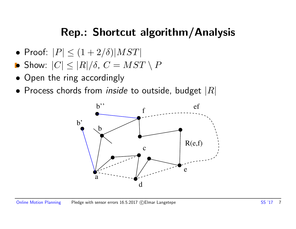# Rep.: Shortcut algorithm/Analysis

- Proof:  $|P| \leq (1+2/\delta)|MST|$
- Show:  $|C| \leq |R|/\delta$ ,  $C = MST \setminus P$
- Open the ring accordingly
- Process chords from *inside* to outside, budget  $|R|$

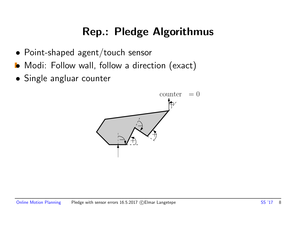# Rep.: Pledge Algorithmus

- Point-shaped agent/touch sensor
- Modi: Follow wall, follow a direction (exact)
- Single angluar counter

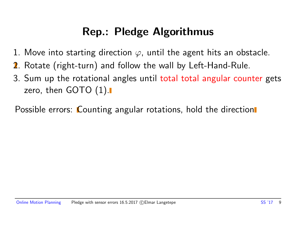# Rep.: Pledge Algorithmus

- 1. Move into starting direction  $\varphi$ , until the agent hits an obstacle.
- 2. Rotate (right-turn) and follow the wall by Left-Hand-Rule.
- 3. Sum up the rotational angles until total total angular counter gets zero, then  $GOTO(1).$

Possible errors: Counting angular rotations, hold the direction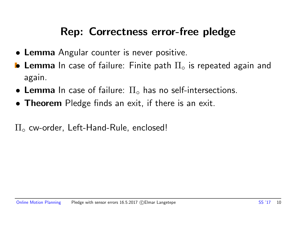## Rep: Correctness error-free pledge

- Lemma Angular counter is never positive.
- **Lemma** In case of failure: Finite path  $\Pi_{\circ}$  is repeated again and again.
- Lemma In case of failure:  $\Pi_{\circ}$  has no self-intersections.
- Theorem Pledge finds an exit, if there is an exit.

 $\Pi_{\circ}$  cw-order, Left-Hand-Rule, enclosed!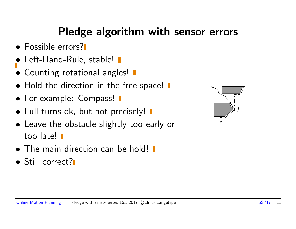# Pledge algorithm with sensor errors

- Possible errors?
- Left-Hand-Rule, stable! I
- Counting rotational angles!  $\blacksquare$
- Hold the direction in the free space!  $\blacksquare$
- For example: Compass!  $\blacksquare$
- Full turns ok, but not precisely!  $\blacksquare$
- Leave the obstacle slightly too early or too late!
- The main direction can be hold!
- Still correct?

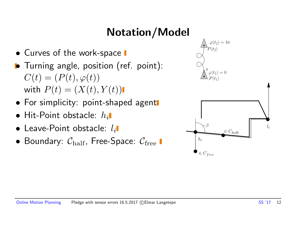# Notation/Model

- Curves of the work-space  $\blacksquare$
- Turning angle, position (ref. point):  $C(t) = (P(t), \varphi(t))$ with  $P(t) = (X(t), Y(t))$
- For simplicity: point-shaped agent
- $\bullet$  Hit-Point obstacle:  $h_i$
- $\bullet$  Leave-Point obstacle:  $l_i$
- Boundary:  $C_{\text{half}}$ , Free-Space:  $C_{\text{free}}$

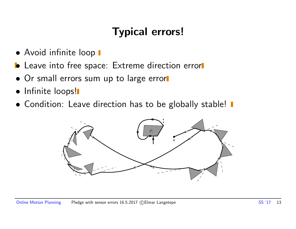- Avoid infinite loop  $\blacksquare$
- **•** Leave into free space: Extreme direction error
- Or small errors sum up to large error
- Infinite loops!
- Condition: Leave direction has to be globally stable!  $\blacksquare$

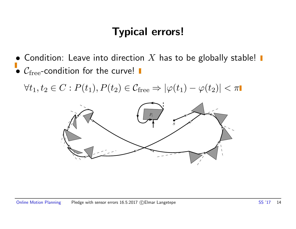• Condition: Leave into direction  $X$  has to be globally stable!  $C_{\text{free}}$ -condition for the curve!

 $\forall t_1, t_2 \in C : P(t_1), P(t_2) \in \mathcal{C}_{\text{free}} \Rightarrow |\varphi(t_1) - \varphi(t_2)| < \pi$ 

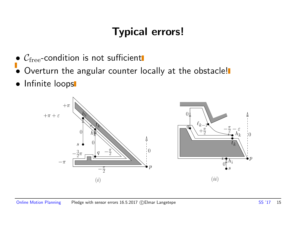- $\bullet$   $\mathcal{C}_{\mathrm{free}}$ -condition is not sufficient
- Overturn the angular counter locally at the obstacle!
- **•** Infinite loops

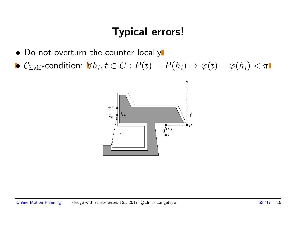- Do not overturn the counter locally
- $\bullet$   $\mathcal{C}_{\rm half}$ -condition:  $\forall h_i, t\in C: P(t) = P(h_i) \Rightarrow \varphi(t) \varphi(h_i) < \pi$

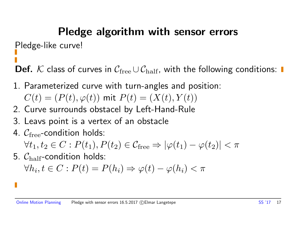# Pledge algorithm with sensor errors

Pledge-like curve!

**Def.** K class of curves in  $C_{\text{free}} \cup C_{\text{half}}$ , with the following conditions: ■

1. Parameterized curve with turn-angles and position:

$$
C(t) = (P(t), \varphi(t)) \text{ mit } P(t) = (X(t), Y(t))
$$

- 2. Curve surrounds obstacel by Left-Hand-Rule
- 3. Leavs point is a vertex of an obstacle
- 4.  $C_{\text{free}}$ -condition holds:  $\forall t_1, t_2 \in C : P(t_1), P(t_2) \in C_{\text{free}} \Rightarrow |\varphi(t_1) - \varphi(t_2)| < \pi$
- 5.  $C_{\text{half}}$ -condition holds:

 $\forall h_i, t \in C: P(t) = P(h_i) \Rightarrow \varphi(t) - \varphi(h_i) < \pi$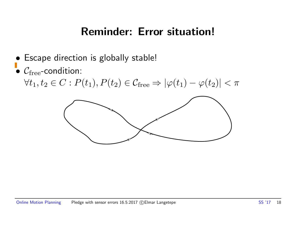## Reminder: Error situation!

- Escape direction is globally stable!
- $C_{\text{free}}$ -condition:

 $\forall t_1, t_2 \in C : P(t_1), P(t_2) \in \mathcal{C}_{\text{free}} \Rightarrow |\varphi(t_1) - \varphi(t_2)| < \pi$ 

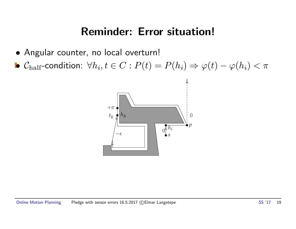#### Reminder: Error situation!

- Angular counter, no local overturn!
- $\bullet$   $\mathcal{C}_{\rm half}$ -condition:  $\forall h_i, t\in C: P(t) = P(h_i) \Rightarrow \varphi(t) \varphi(h_i) < \pi$

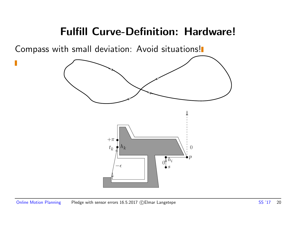#### Fulfill Curve-Definition: Hardware!

Compass with small deviation: Avoid situations!

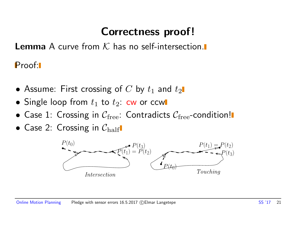# Correctness proof!

**Lemma** A curve from  $K$  has no self-intersection.

Proof:

- Assume: First crossing of  $C$  by  $t_1$  and  $t_2$
- Single loop from  $t_1$  to  $t_2$ : cw or ccw
- Case 1: Crossing in  $C_{\text{free}}$ : Contradicts  $C_{\text{free}}$ -condition!
- Case 2: Crossing in  $C_{\text{half}}$

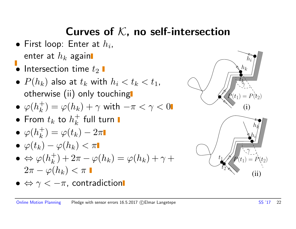# Curves of  $K$ , no self-intersection

- $\bullet$  First loop: Enter at  $h_i$ , enter at  $h_k$  again
- $\bullet$  Intersection time  $t_2$   $\blacksquare$
- $P(h_k)$  also at  $t_k$  with  $h_i < t_k < t_1$ , otherwise (ii) only touching
- $\bullet$   $\varphi(h_k^+)$  $\lambda_k^+) = \varphi(h_k) + \gamma$  with  $-\pi < \gamma < 0$
- $\bullet$  From  $t_k$  to  $h_k^+$  $\frac{+}{k}$  full turn
- $\bullet$   $\varphi(h_k^+)$  $\dot{\bar{k}}) = \varphi(t_k) - 2\pi$
- $\bullet \varphi(t_k) \varphi(h_k) < \pi$
- $\bullet \Leftrightarrow \varphi(h_k^+)$  $\lambda_k^+)+2\pi-\varphi(h_k)=\varphi(h_k)+\gamma+$  $2\pi - \varphi(h_k) < \pi$
- $\bullet \Leftrightarrow \gamma < -\pi$ , contradiction



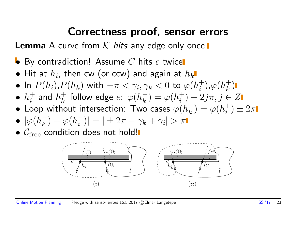#### Correctness proof, sensor errors

**Lemma** A curve from  $K$  hits any edge only once.

- $\bullet$  By contradiction! Assume  $C$  hits  $e$  twice
- $\bullet$  Hit at  $h_i$ , then cw (or ccw) and again at  $h_k$
- In  $P(h_i)$ , $P(h_k)$  with  $-\pi < \gamma_i, \gamma_k < 0$  to  $\varphi(h_i^+)$  $_{i}^{+}),\varphi (h_{k}^{+}% ,\lambda _{k}^{-})\equiv\sum_{k}\left( \chi _{k}\right) ^{k},\varphi (\lambda _{k}^{+})$  $\binom{+}{k}$
- $\bullet~h_i^+$  $\frac{1}{i}$  and  $h_k^+$  $\frac{1}{k}$  follow edge  $e \colon \varphi(h_{k}^{+})$  $\binom{+}{k} = \varphi(h_i^+)$  $\sigma_i^+) + 2j\pi, j \in Z$
- Loop without intersection: Two cases  $\varphi(h_k^+)$  $\binom{+}{k} = \varphi(h_i^+)$  $\binom{+}{i} \pm 2\pi$
- $\bullet$   $|\varphi(h_k^-)|$  $\frac{1}{k}$ ) –  $\varphi(h_i^-)$  $|\bar{i}\rangle|=|\pm 2\pi-\gamma_k+\gamma_i|>\pi$
- $\bullet$   $C_{\text{free}}$ -condition does not hold!

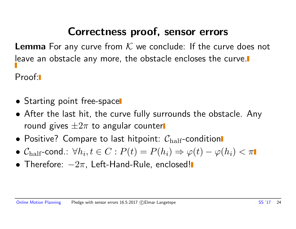## Correctness proof, sensor errors

**Lemma** For any curve from  $K$  we conclude: If the curve does not leave an obstacle any more, the obstacle encloses the curve. Proof:

- Starting point free-space
- After the last hit, the curve fully surrounds the obstacle. Any round gives  $\pm 2\pi$  to angular counter
- Positive? Compare to last hitpoint:  $C_{\text{half}}$ -condition
- $\bullet$   $\mathcal{C}_{\rm half}$ -cond $\colon \forall h_i, t\in C: P(t) = P(h_i) \Rightarrow \varphi(t) \varphi(h_i) < \pi$
- Therefore:  $-2\pi$ , Left-Hand-Rule, enclosed!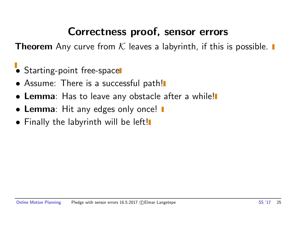## Correctness proof, sensor errors

**Theorem** Any curve from K leaves a labyrinth, if this is possible.  $\blacksquare$ 

- Starting-point free-space
- Assume: There is a successful path!
- **Lemma**: Has to leave any obstacle after a while!
- Lemma: Hit any edges only once! I
- Finally the labyrinth will be left!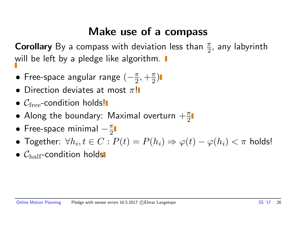## Make use of a compass

**Corollary** By a compass with deviation less than  $\frac{\pi}{2}$ , any labyrinth will be left by a pledge like algorithm.

- Free-space angular range  $(-\frac{\pi}{2})$  $\frac{\pi}{2}, +\frac{\pi}{2}$  $\frac{\pi}{2})$
- Direction deviates at most  $\pi$ !
- $\bullet$   $C_{\text{free}}$ -condition holds!
- Along the boundary: Maximal overturn  $+\frac{\pi}{2}$ 2
- Free-space minimal  $-\frac{\pi}{2}$ 2
- Together:  $\forall h_i, t \in C: P(t) = P(h_i) \Rightarrow \varphi(t) \varphi(h_i) < \pi$  holds!
- $\bullet$   $C_{\text{half}}$ -condition holds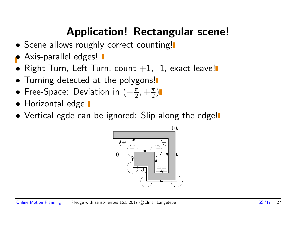# Application! Rectangular scene!

- Scene allows roughly correct counting!
- Axis-parallel edges! **I**
- $\bullet$  Right-Turn, Left-Turn, count  $+1$ , -1, exact leave!
- Turning detected at the polygons!
- Free-Space: Deviation in  $(-\frac{\pi}{2})$  $\frac{\pi}{2}, +\frac{\pi}{2}$  $\frac{\pi}{2})$
- Horizontal edge  $\blacksquare$
- Vertical egde can be ignored: Slip along the edge!

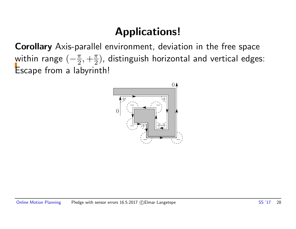# Applications!

Corollary Axis-parallel environment, deviation in the free space within range  $(-\frac{\pi}{2})$  $\frac{\pi}{2}, +\frac{\pi}{2}$  $\left(\frac{\pi}{2}\right)$ , distinguish horizontal and vertical edges: Escape from a labyrinth!

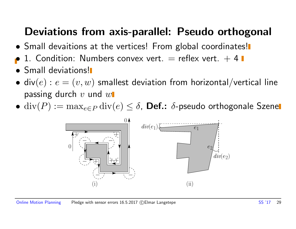# Deviations from axis-parallel: Pseudo orthogonal

- Small devaitions at the vertices! From global coordinates!
- 1. Condition: Numbers convex vert.  $=$  reflex vert.  $+4$
- Small deviations!
- div $(e)$ :  $e = (v, w)$  smallest deviation from horizontal/vertical line passing durch  $v$  und  $w$
- div $(P) := \max_{e \in P} \text{div}(e) \leq \delta$ , Def.:  $\delta$ -pseudo orthogonale Szenel

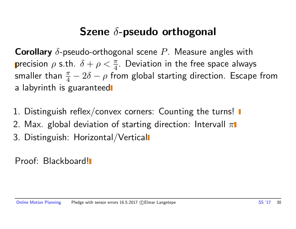# Szene  $\delta$ -pseudo orthogonal

**Corollary**  $\delta$ -pseudo-orthogonal scene P. Measure angles with precision  $\rho$  s.th.  $\delta + \rho < \frac{\pi}{4}$ . Deviation in the free space always smaller than  $\frac{\pi}{4}-2\delta-\rho$  from global starting direction. Escape from a labyrinth is guaranteed

- 1. Distinguish reflex/convex corners: Counting the turns!
- 2. Max. global deviation of starting direction: Intervall  $\pi$
- 3. Distinguish: Horizontal/Vertical

Proof: Blackboard!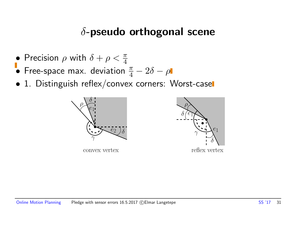#### $\delta$ -pseudo orthogonal scene

- Precision  $\rho$  with  $\delta + \rho < \frac{\pi}{4}$
- Free-space max. deviation  $\frac{\pi}{4} 2\delta \rho$
- 1. Distinguish reflex/convex corners: Worst-case



convex vertex



Online Motion Planning Pledge with sensor errors 16.5.2017 (C) Elmar Langetepe SS '17 31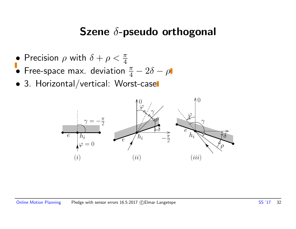## Szene δ-pseudo orthogonal

- Precision  $\rho$  with  $\delta + \rho < \frac{\pi}{4}$
- Free-space max. deviation  $\frac{\pi}{4} 2\delta \rho$
- 3. Horizontal/vertical: Worst-case